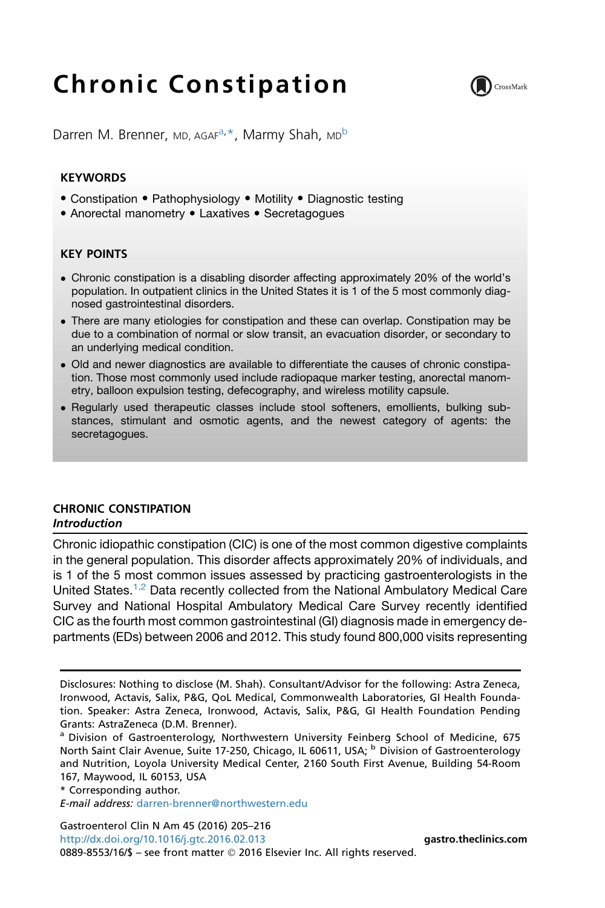# Chronic Constipation



Darren M. Brenner, MD, AGAF<sup>a, \*</sup>, Marmy Shah, MD<sup>b</sup>

### **KEYWORDS**

- Constipation Pathophysiology Motility Diagnostic testing
- Anorectal manometry Laxatives Secretagogues

## KEY POINTS

- Chronic constipation is a disabling disorder affecting approximately 20% of the world's population. In outpatient clinics in the United States it is 1 of the 5 most commonly diagnosed gastrointestinal disorders.
- There are many etiologies for constipation and these can overlap. Constipation may be due to a combination of normal or slow transit, an evacuation disorder, or secondary to an underlying medical condition.
- Old and newer diagnostics are available to differentiate the causes of chronic constipation. Those most commonly used include radiopaque marker testing, anorectal manometry, balloon expulsion testing, defecography, and wireless motility capsule.
- Regularly used therapeutic classes include stool softeners, emollients, bulking substances, stimulant and osmotic agents, and the newest category of agents: the secretagogues.

#### CHRONIC CONSTIPATION Introduction

Chronic idiopathic constipation (CIC) is one of the most common digestive complaints in the general population. This disorder affects approximately 20% of individuals, and is 1 of the 5 most common issues assessed by practicing gastroenterologists in the United States.<sup>[1,2](#page-9-0)</sup> Data recently collected from the National Ambulatory Medical Care Survey and National Hospital Ambulatory Medical Care Survey recently identified CIC as the fourth most common gastrointestinal (GI) diagnosis made in emergency departments (EDs) between 2006 and 2012. This study found 800,000 visits representing

\* Corresponding author.

E-mail address: [darren-brenner@northwestern.edu](mailto:darren-brenner@northwestern.edu)

Gastroenterol Clin N Am 45 (2016) 205–216 <http://dx.doi.org/10.1016/j.gtc.2016.02.013> [gastro.theclinics.com](http://gastro.theclinics.com) 0889-8553/16/\$ - see front matter © 2016 Elsevier Inc. All rights reserved.

Disclosures: Nothing to disclose (M. Shah). Consultant/Advisor for the following: Astra Zeneca, Ironwood, Actavis, Salix, P&G, QoL Medical, Commonwealth Laboratories, GI Health Foundation. Speaker: Astra Zeneca, Ironwood, Actavis, Salix, P&G, GI Health Foundation Pending Grants: AstraZeneca (D.M. Brenner).

<sup>&</sup>lt;sup>a</sup> Division of Gastroenterology, Northwestern University Feinberg School of Medicine, 675 North Saint Clair Avenue, Suite 17-250, Chicago, IL 60611, USA; <sup>b</sup> Division of Gastroenterology and Nutrition, Loyola University Medical Center, 2160 South First Avenue, Building 54-Room 167, Maywood, IL 60153, USA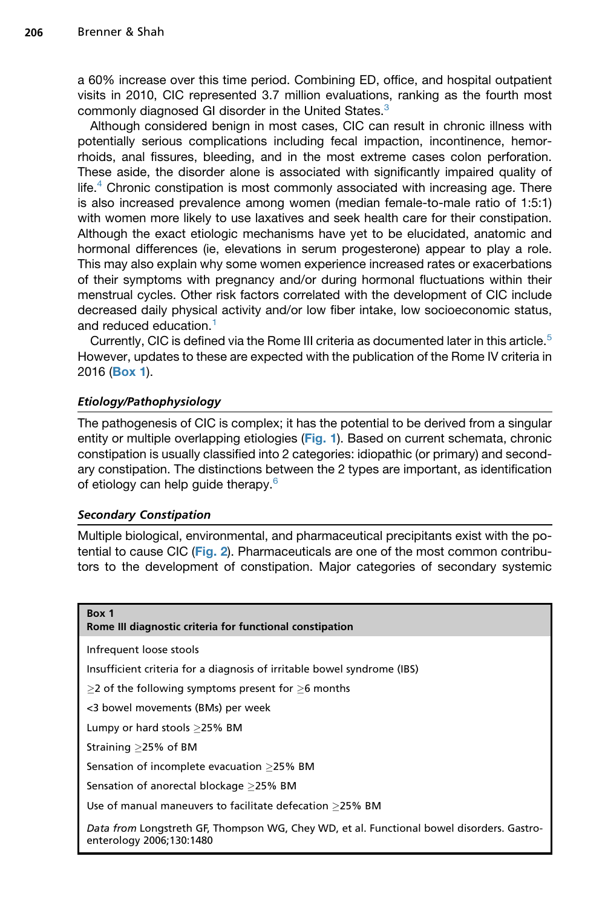a 60% increase over this time period. Combining ED, office, and hospital outpatient visits in 2010, CIC represented 3.7 million evaluations, ranking as the fourth most commonly diagnosed GI disorder in the United States.<sup>[3](#page-9-0)</sup>

Although considered benign in most cases, CIC can result in chronic illness with potentially serious complications including fecal impaction, incontinence, hemorrhoids, anal fissures, bleeding, and in the most extreme cases colon perforation. These aside, the disorder alone is associated with significantly impaired quality of life.[4](#page-9-0) Chronic constipation is most commonly associated with increasing age. There is also increased prevalence among women (median female-to-male ratio of 1:5:1) with women more likely to use laxatives and seek health care for their constipation. Although the exact etiologic mechanisms have yet to be elucidated, anatomic and hormonal differences (ie, elevations in serum progesterone) appear to play a role. This may also explain why some women experience increased rates or exacerbations of their symptoms with pregnancy and/or during hormonal fluctuations within their menstrual cycles. Other risk factors correlated with the development of CIC include decreased daily physical activity and/or low fiber intake, low socioeconomic status, and reduced education.<sup>[1](#page-9-0)</sup>

Currently, CIC is defined via the Rome III criteria as documented later in this article.<sup>[5](#page-9-0)</sup> However, updates to these are expected with the publication of the Rome IV criteria in 2016 (Box 1).

#### Etiology/Pathophysiology

The pathogenesis of CIC is complex; it has the potential to be derived from a singular entity or multiple overlapping etiologies ([Fig. 1](#page-2-0)). Based on current schemata, chronic constipation is usually classified into 2 categories: idiopathic (or primary) and secondary constipation. The distinctions between the 2 types are important, as identification of etiology can help guide therapy.<sup>[6](#page-9-0)</sup>

#### Secondary Constipation

Multiple biological, environmental, and pharmaceutical precipitants exist with the potential to cause CIC ([Fig. 2](#page-2-0)). Pharmaceuticals are one of the most common contributors to the development of constipation. Major categories of secondary systemic

Box 1

|  |  | Rome III diagnostic criteria for functional constipation |
|--|--|----------------------------------------------------------|
|  |  |                                                          |

Infrequent loose stools

Insufficient criteria for a diagnosis of irritable bowel syndrome (IBS)

 $\geq$  2 of the following symptoms present for  $\geq$  6 months

<3 bowel movements (BMs) per week

Lumpy or hard stools 25% BM

Straining 25% of BM

Sensation of incomplete evacuation >25% BM

Sensation of anorectal blockage  $\geq$ 25% BM

Use of manual maneuvers to facilitate defecation 25% BM

Data from Longstreth GF, Thompson WG, Chey WD, et al. Functional bowel disorders. Gastroenterology 2006;130:1480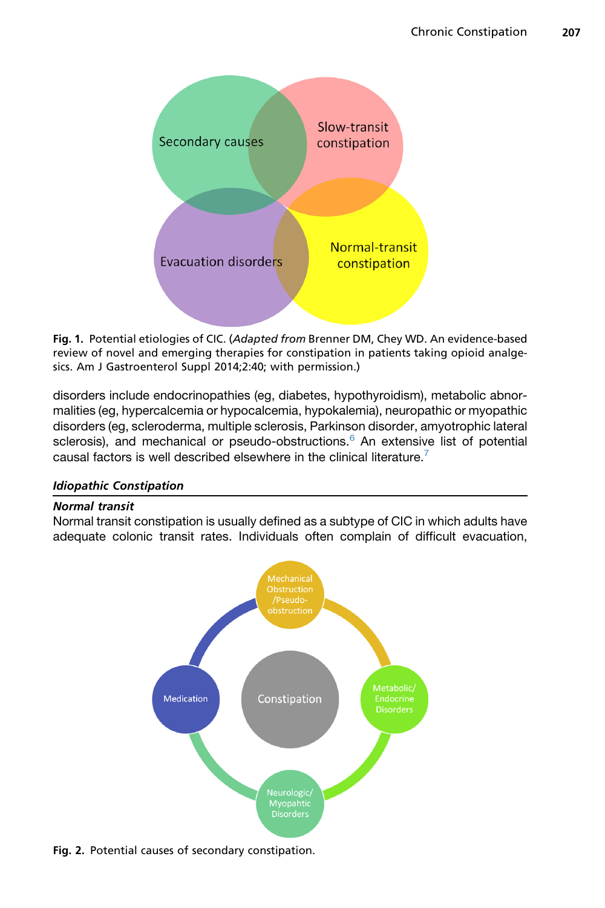<span id="page-2-0"></span>

Fig. 1. Potential etiologies of CIC. (Adapted from Brenner DM, Chey WD. An evidence-based review of novel and emerging therapies for constipation in patients taking opioid analgesics. Am J Gastroenterol Suppl 2014;2:40; with permission.)

disorders include endocrinopathies (eg, diabetes, hypothyroidism), metabolic abnormalities (eg, hypercalcemia or hypocalcemia, hypokalemia), neuropathic or myopathic disorders (eg, scleroderma, multiple sclerosis, Parkinson disorder, amyotrophic lateral sclerosis), and mechanical or pseudo-obstructions. $6$  An extensive list of potential causal factors is well described elsewhere in the clinical literature.<sup>[7](#page-9-0)</sup>

#### Idiopathic Constipation

#### Normal transit

Normal transit constipation is usually defined as a subtype of CIC in which adults have adequate colonic transit rates. Individuals often complain of difficult evacuation,



Fig. 2. Potential causes of secondary constipation.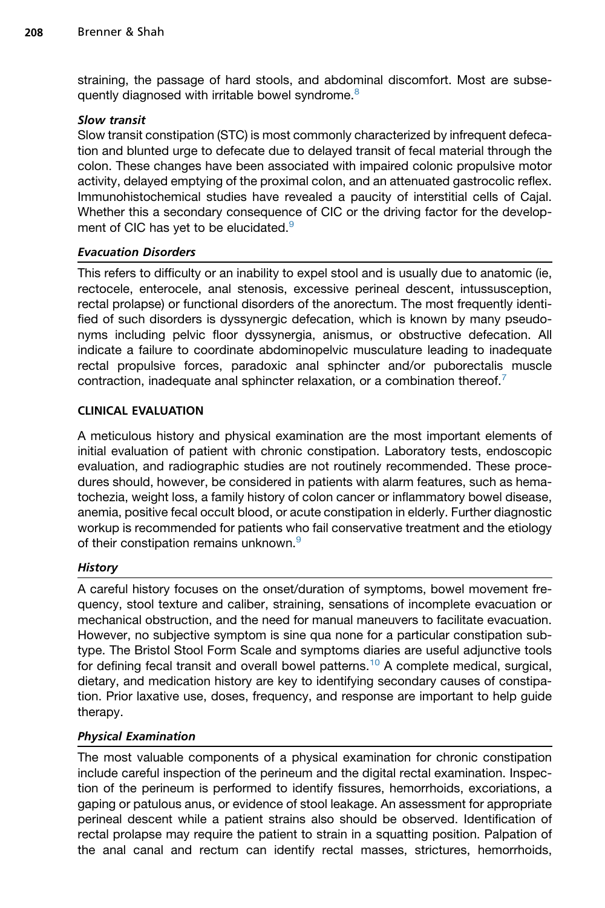straining, the passage of hard stools, and abdominal discomfort. Most are subse-quently diagnosed with irritable bowel syndrome.<sup>[8](#page-10-0)</sup>

## Slow transit

Slow transit constipation (STC) is most commonly characterized by infrequent defecation and blunted urge to defecate due to delayed transit of fecal material through the colon. These changes have been associated with impaired colonic propulsive motor activity, delayed emptying of the proximal colon, and an attenuated gastrocolic reflex. Immunohistochemical studies have revealed a paucity of interstitial cells of Cajal. Whether this a secondary consequence of CIC or the driving factor for the develop-ment of CIC has yet to be elucidated.<sup>[9](#page-10-0)</sup>

## Evacuation Disorders

This refers to difficulty or an inability to expel stool and is usually due to anatomic (ie, rectocele, enterocele, anal stenosis, excessive perineal descent, intussusception, rectal prolapse) or functional disorders of the anorectum. The most frequently identified of such disorders is dyssynergic defecation, which is known by many pseudonyms including pelvic floor dyssynergia, anismus, or obstructive defecation. All indicate a failure to coordinate abdominopelvic musculature leading to inadequate rectal propulsive forces, paradoxic anal sphincter and/or puborectalis muscle contraction, inadequate anal sphincter relaxation, or a combination thereof.<sup>[7](#page-9-0)</sup>

## CLINICAL EVALUATION

A meticulous history and physical examination are the most important elements of initial evaluation of patient with chronic constipation. Laboratory tests, endoscopic evaluation, and radiographic studies are not routinely recommended. These procedures should, however, be considered in patients with alarm features, such as hematochezia, weight loss, a family history of colon cancer or inflammatory bowel disease, anemia, positive fecal occult blood, or acute constipation in elderly. Further diagnostic workup is recommended for patients who fail conservative treatment and the etiology of their constipation remains unknown.<sup>[9](#page-10-0)</sup>

# **History**

A careful history focuses on the onset/duration of symptoms, bowel movement frequency, stool texture and caliber, straining, sensations of incomplete evacuation or mechanical obstruction, and the need for manual maneuvers to facilitate evacuation. However, no subjective symptom is sine qua none for a particular constipation subtype. The Bristol Stool Form Scale and symptoms diaries are useful adjunctive tools for defining fecal transit and overall bowel patterns.<sup>[10](#page-10-0)</sup> A complete medical, surgical, dietary, and medication history are key to identifying secondary causes of constipation. Prior laxative use, doses, frequency, and response are important to help guide therapy.

# Physical Examination

The most valuable components of a physical examination for chronic constipation include careful inspection of the perineum and the digital rectal examination. Inspection of the perineum is performed to identify fissures, hemorrhoids, excoriations, a gaping or patulous anus, or evidence of stool leakage. An assessment for appropriate perineal descent while a patient strains also should be observed. Identification of rectal prolapse may require the patient to strain in a squatting position. Palpation of the anal canal and rectum can identify rectal masses, strictures, hemorrhoids,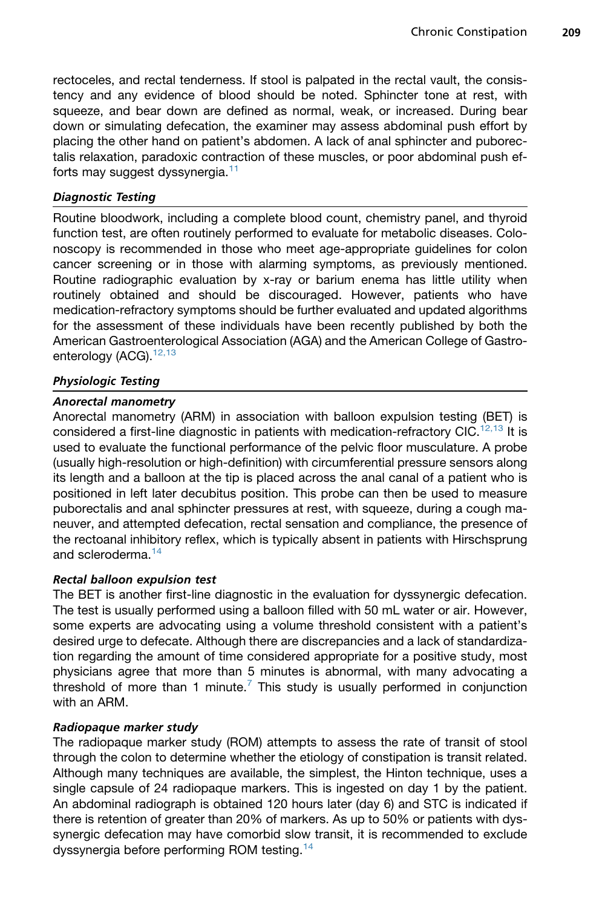rectoceles, and rectal tenderness. If stool is palpated in the rectal vault, the consistency and any evidence of blood should be noted. Sphincter tone at rest, with squeeze, and bear down are defined as normal, weak, or increased. During bear down or simulating defecation, the examiner may assess abdominal push effort by placing the other hand on patient's abdomen. A lack of anal sphincter and puborectalis relaxation, paradoxic contraction of these muscles, or poor abdominal push ef-forts may suggest dyssynergia.<sup>[11](#page-10-0)</sup>

# Diagnostic Testing

Routine bloodwork, including a complete blood count, chemistry panel, and thyroid function test, are often routinely performed to evaluate for metabolic diseases. Colonoscopy is recommended in those who meet age-appropriate guidelines for colon cancer screening or in those with alarming symptoms, as previously mentioned. Routine radiographic evaluation by x-ray or barium enema has little utility when routinely obtained and should be discouraged. However, patients who have medication-refractory symptoms should be further evaluated and updated algorithms for the assessment of these individuals have been recently published by both the American Gastroenterological Association (AGA) and the American College of Gastro-enterology (ACG).<sup>[12,13](#page-10-0)</sup>

## Physiologic Testing

## Anorectal manometry

Anorectal manometry (ARM) in association with balloon expulsion testing (BET) is considered a first-line diagnostic in patients with medication-refractory CIC.<sup>[12,13](#page-10-0)</sup> It is used to evaluate the functional performance of the pelvic floor musculature. A probe (usually high-resolution or high-definition) with circumferential pressure sensors along its length and a balloon at the tip is placed across the anal canal of a patient who is positioned in left later decubitus position. This probe can then be used to measure puborectalis and anal sphincter pressures at rest, with squeeze, during a cough maneuver, and attempted defecation, rectal sensation and compliance, the presence of the rectoanal inhibitory reflex, which is typically absent in patients with Hirschsprung and scleroderma.<sup>[14](#page-10-0)</sup>

#### Rectal balloon expulsion test

The BET is another first-line diagnostic in the evaluation for dyssynergic defecation. The test is usually performed using a balloon filled with 50 mL water or air. However, some experts are advocating using a volume threshold consistent with a patient's desired urge to defecate. Although there are discrepancies and a lack of standardization regarding the amount of time considered appropriate for a positive study, most physicians agree that more than 5 minutes is abnormal, with many advocating a threshold of more than 1 minute.<sup>[7](#page-9-0)</sup> This study is usually performed in conjunction with an ARM.

#### Radiopaque marker study

The radiopaque marker study (ROM) attempts to assess the rate of transit of stool through the colon to determine whether the etiology of constipation is transit related. Although many techniques are available, the simplest, the Hinton technique, uses a single capsule of 24 radiopaque markers. This is ingested on day 1 by the patient. An abdominal radiograph is obtained 120 hours later (day 6) and STC is indicated if there is retention of greater than 20% of markers. As up to 50% or patients with dyssynergic defecation may have comorbid slow transit, it is recommended to exclude dyssynergia before performing ROM testing.[14](#page-10-0)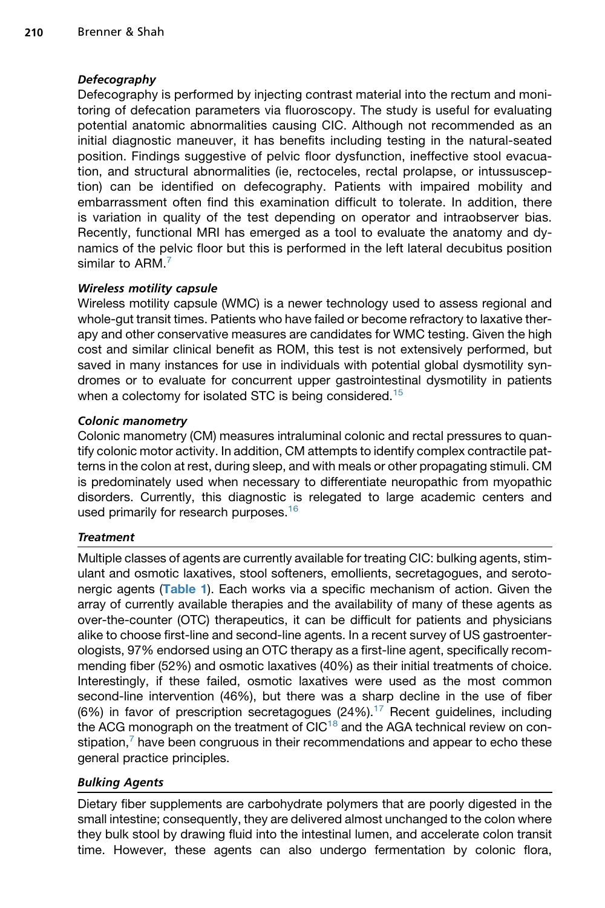# Defecography

Defecography is performed by injecting contrast material into the rectum and monitoring of defecation parameters via fluoroscopy. The study is useful for evaluating potential anatomic abnormalities causing CIC. Although not recommended as an initial diagnostic maneuver, it has benefits including testing in the natural-seated position. Findings suggestive of pelvic floor dysfunction, ineffective stool evacuation, and structural abnormalities (ie, rectoceles, rectal prolapse, or intussusception) can be identified on defecography. Patients with impaired mobility and embarrassment often find this examination difficult to tolerate. In addition, there is variation in quality of the test depending on operator and intraobserver bias. Recently, functional MRI has emerged as a tool to evaluate the anatomy and dynamics of the pelvic floor but this is performed in the left lateral decubitus position similar to ARM.<sup>[7](#page-9-0)</sup>

## Wireless motility capsule

Wireless motility capsule (WMC) is a newer technology used to assess regional and whole-gut transit times. Patients who have failed or become refractory to laxative therapy and other conservative measures are candidates for WMC testing. Given the high cost and similar clinical benefit as ROM, this test is not extensively performed, but saved in many instances for use in individuals with potential global dysmotility syndromes or to evaluate for concurrent upper gastrointestinal dysmotility in patients when a colectomy for isolated STC is being considered.<sup>[15](#page-10-0)</sup>

## Colonic manometry

Colonic manometry (CM) measures intraluminal colonic and rectal pressures to quantify colonic motor activity. In addition, CM attempts to identify complex contractile patterns in the colon at rest, during sleep, and with meals or other propagating stimuli. CM is predominately used when necessary to differentiate neuropathic from myopathic disorders. Currently, this diagnostic is relegated to large academic centers and used primarily for research purposes.<sup>[16](#page-10-0)</sup>

#### **Treatment**

Multiple classes of agents are currently available for treating CIC: bulking agents, stimulant and osmotic laxatives, stool softeners, emollients, secretagogues, and serotonergic agents ([Table 1](#page-6-0)). Each works via a specific mechanism of action. Given the array of currently available therapies and the availability of many of these agents as over-the-counter (OTC) therapeutics, it can be difficult for patients and physicians alike to choose first-line and second-line agents. In a recent survey of US gastroenterologists, 97% endorsed using an OTC therapy as a first-line agent, specifically recommending fiber (52%) and osmotic laxatives (40%) as their initial treatments of choice. Interestingly, if these failed, osmotic laxatives were used as the most common second-line intervention (46%), but there was a sharp decline in the use of fiber (6%) in favor of prescription secretagogues  $(24%)$ .<sup>[17](#page-10-0)</sup> Recent guidelines, including the ACG monograph on the treatment of  $ClC^{18}$  $ClC^{18}$  $ClC^{18}$  and the AGA technical review on con-stipation,<sup>[7](#page-9-0)</sup> have been congruous in their recommendations and appear to echo these general practice principles.

# Bulking Agents

Dietary fiber supplements are carbohydrate polymers that are poorly digested in the small intestine; consequently, they are delivered almost unchanged to the colon where they bulk stool by drawing fluid into the intestinal lumen, and accelerate colon transit time. However, these agents can also undergo fermentation by colonic flora,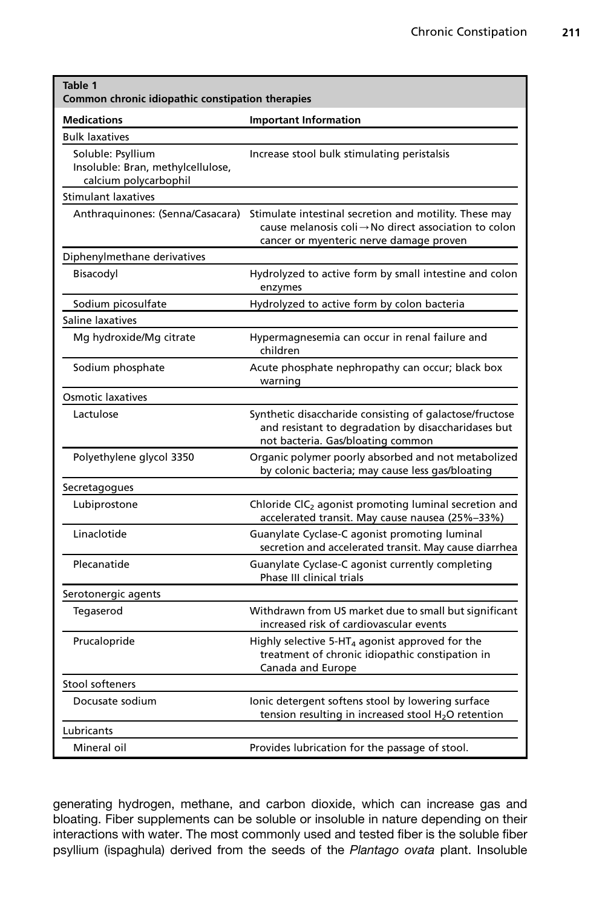<span id="page-6-0"></span>

| Table 1<br>Common chronic idiopathic constipation therapies                     |                                                                                                                                                          |  |  |  |  |
|---------------------------------------------------------------------------------|----------------------------------------------------------------------------------------------------------------------------------------------------------|--|--|--|--|
| Medications                                                                     | <b>Important Information</b>                                                                                                                             |  |  |  |  |
| <b>Bulk laxatives</b>                                                           |                                                                                                                                                          |  |  |  |  |
| Soluble: Psyllium<br>Insoluble: Bran, methylcellulose,<br>calcium polycarbophil | Increase stool bulk stimulating peristalsis                                                                                                              |  |  |  |  |
| <b>Stimulant laxatives</b>                                                      |                                                                                                                                                          |  |  |  |  |
| Anthraquinones: (Senna/Casacara)                                                | Stimulate intestinal secretion and motility. These may<br>cause melanosis coli→No direct association to colon<br>cancer or myenteric nerve damage proven |  |  |  |  |
| Diphenylmethane derivatives                                                     |                                                                                                                                                          |  |  |  |  |
| Bisacodyl                                                                       | Hydrolyzed to active form by small intestine and colon<br>enzymes                                                                                        |  |  |  |  |
| Sodium picosulfate                                                              | Hydrolyzed to active form by colon bacteria                                                                                                              |  |  |  |  |
| Saline laxatives                                                                |                                                                                                                                                          |  |  |  |  |
| Mg hydroxide/Mg citrate                                                         | Hypermagnesemia can occur in renal failure and<br>children                                                                                               |  |  |  |  |
| Sodium phosphate                                                                | Acute phosphate nephropathy can occur; black box<br>warning                                                                                              |  |  |  |  |
| Osmotic laxatives                                                               |                                                                                                                                                          |  |  |  |  |
| Lactulose                                                                       | Synthetic disaccharide consisting of galactose/fructose<br>and resistant to degradation by disaccharidases but<br>not bacteria. Gas/bloating common      |  |  |  |  |
| Polyethylene glycol 3350                                                        | Organic polymer poorly absorbed and not metabolized<br>by colonic bacteria; may cause less gas/bloating                                                  |  |  |  |  |
| Secretagogues                                                                   |                                                                                                                                                          |  |  |  |  |
| Lubiprostone                                                                    | Chloride CIC <sub>2</sub> agonist promoting luminal secretion and<br>accelerated transit. May cause nausea (25%-33%)                                     |  |  |  |  |
| Linaclotide                                                                     | Guanylate Cyclase-C agonist promoting luminal<br>secretion and accelerated transit. May cause diarrhea                                                   |  |  |  |  |
| Plecanatide                                                                     | Guanylate Cyclase-C agonist currently completing<br>Phase III clinical trials                                                                            |  |  |  |  |
| Serotonergic agents                                                             |                                                                                                                                                          |  |  |  |  |
| Tegaserod                                                                       | Withdrawn from US market due to small but significant<br>increased risk of cardiovascular events                                                         |  |  |  |  |
| Prucalopride                                                                    | Highly selective 5-HT <sub>4</sub> agonist approved for the<br>treatment of chronic idiopathic constipation in<br>Canada and Europe                      |  |  |  |  |
| Stool softeners                                                                 |                                                                                                                                                          |  |  |  |  |
| Docusate sodium                                                                 | Ionic detergent softens stool by lowering surface<br>tension resulting in increased stool $H2O$ retention                                                |  |  |  |  |
| Lubricants                                                                      |                                                                                                                                                          |  |  |  |  |
| Mineral oil                                                                     | Provides lubrication for the passage of stool.                                                                                                           |  |  |  |  |

generating hydrogen, methane, and carbon dioxide, which can increase gas and bloating. Fiber supplements can be soluble or insoluble in nature depending on their interactions with water. The most commonly used and tested fiber is the soluble fiber psyllium (ispaghula) derived from the seeds of the *Plantago ovata* plant. Insoluble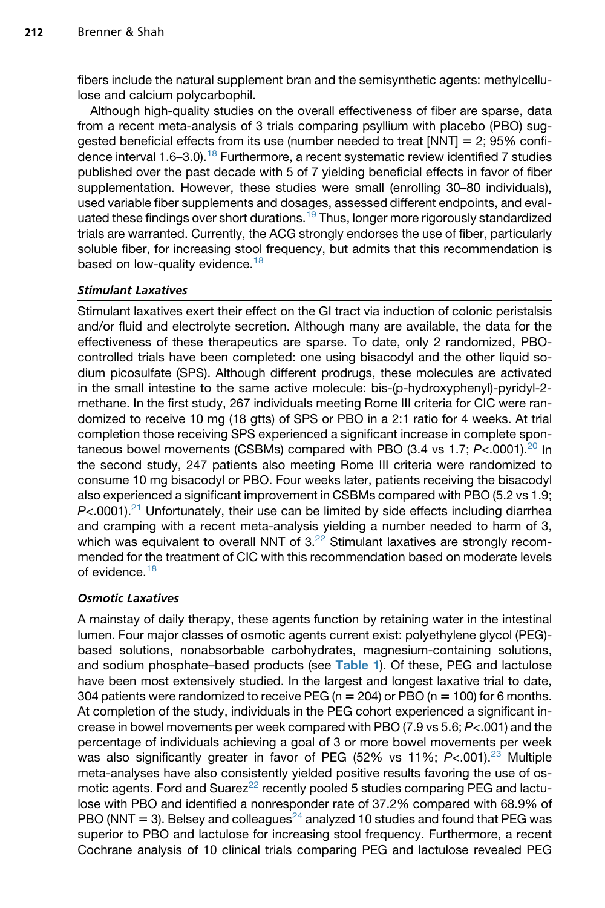fibers include the natural supplement bran and the semisynthetic agents: methylcellulose and calcium polycarbophil.

Although high-quality studies on the overall effectiveness of fiber are sparse, data from a recent meta-analysis of 3 trials comparing psyllium with placebo (PBO) suggested beneficial effects from its use (number needed to treat  $[NNT] = 2$ ; 95% confidence interval  $1.6-3.0$ ).<sup>[18](#page-10-0)</sup> Furthermore, a recent systematic review identified 7 studies published over the past decade with 5 of 7 yielding beneficial effects in favor of fiber supplementation. However, these studies were small (enrolling 30–80 individuals), used variable fiber supplements and dosages, assessed different endpoints, and eval-uated these findings over short durations.<sup>[19](#page-10-0)</sup> Thus, longer more rigorously standardized trials are warranted. Currently, the ACG strongly endorses the use of fiber, particularly soluble fiber, for increasing stool frequency, but admits that this recommendation is based on low-quality evidence.<sup>[18](#page-10-0)</sup>

# Stimulant Laxatives

Stimulant laxatives exert their effect on the GI tract via induction of colonic peristalsis and/or fluid and electrolyte secretion. Although many are available, the data for the effectiveness of these therapeutics are sparse. To date, only 2 randomized, PBOcontrolled trials have been completed: one using bisacodyl and the other liquid sodium picosulfate (SPS). Although different prodrugs, these molecules are activated in the small intestine to the same active molecule: bis-(p-hydroxyphenyl)-pyridyl-2 methane. In the first study, 267 individuals meeting Rome III criteria for CIC were randomized to receive 10 mg (18 gtts) of SPS or PBO in a 2:1 ratio for 4 weeks. At trial completion those receiving SPS experienced a significant increase in complete spontaneous bowel movements (CSBMs) compared with PBO (3.4 vs 1.7; *P*<.0001).<sup>[20](#page-10-0)</sup> In the second study, 247 patients also meeting Rome III criteria were randomized to consume 10 mg bisacodyl or PBO. Four weeks later, patients receiving the bisacodyl also experienced a significant improvement in CSBMs compared with PBO (5.2 vs 1.9;  $P$ <.0001).<sup>[21](#page-10-0)</sup> Unfortunately, their use can be limited by side effects including diarrhea and cramping with a recent meta-analysis yielding a number needed to harm of 3, which was equivalent to overall NNT of  $3.<sup>22</sup>$  Stimulant laxatives are strongly recommended for the treatment of CIC with this recommendation based on moderate levels of evidence.<sup>[18](#page-10-0)</sup>

# Osmotic Laxatives

A mainstay of daily therapy, these agents function by retaining water in the intestinal lumen. Four major classes of osmotic agents current exist: polyethylene glycol (PEG) based solutions, nonabsorbable carbohydrates, magnesium-containing solutions, and sodium phosphate–based products (see [Table 1](#page-6-0)). Of these, PEG and lactulose have been most extensively studied. In the largest and longest laxative trial to date, 304 patients were randomized to receive PEG ( $n = 204$ ) or PBO ( $n = 100$ ) for 6 months. At completion of the study, individuals in the PEG cohort experienced a significant increase in bowel movements per week compared with PBO (7.9 vs 5.6; *P*<.001) and the percentage of individuals achieving a goal of 3 or more bowel movements per week was also significantly greater in favor of PEG (52% vs 11%; *P*<.001).<sup>[23](#page-10-0)</sup> Multiple meta-analyses have also consistently yielded positive results favoring the use of os-motic agents. Ford and Suarez<sup>[22](#page-10-0)</sup> recently pooled 5 studies comparing PEG and lactulose with PBO and identified a nonresponder rate of 37.2% compared with 68.9% of PBO (NNT = 3). Belsey and colleagues<sup>[24](#page-10-0)</sup> analyzed 10 studies and found that PEG was superior to PBO and lactulose for increasing stool frequency. Furthermore, a recent Cochrane analysis of 10 clinical trials comparing PEG and lactulose revealed PEG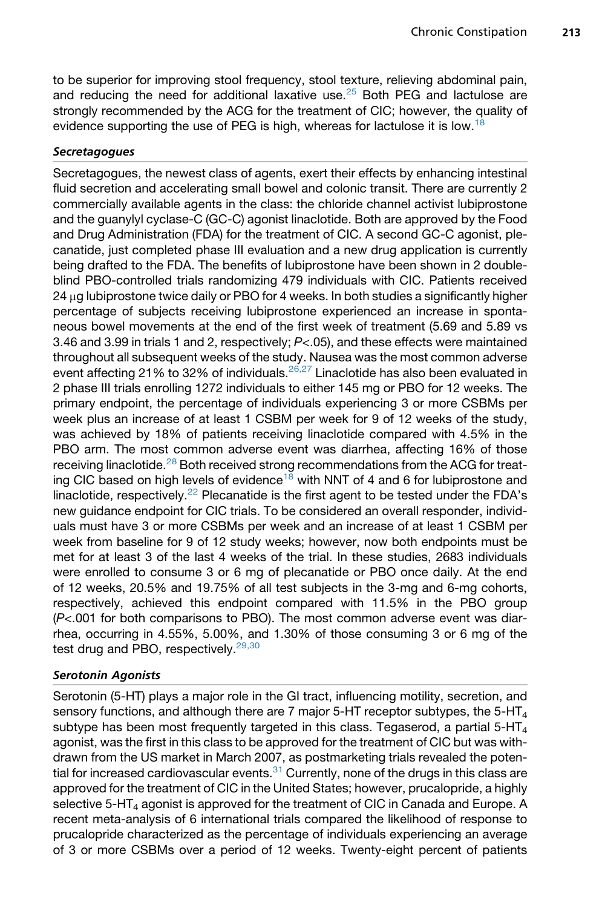to be superior for improving stool frequency, stool texture, relieving abdominal pain, and reducing the need for additional laxative use.<sup>[25](#page-10-0)</sup> Both PEG and lactulose are strongly recommended by the ACG for the treatment of CIC; however, the quality of evidence supporting the use of PEG is high, whereas for lactulose it is low.<sup>[18](#page-10-0)</sup>

## Secretagogues

Secretagogues, the newest class of agents, exert their effects by enhancing intestinal fluid secretion and accelerating small bowel and colonic transit. There are currently 2 commercially available agents in the class: the chloride channel activist lubiprostone and the guanylyl cyclase-C (GC-C) agonist linaclotide. Both are approved by the Food and Drug Administration (FDA) for the treatment of CIC. A second GC-C agonist, plecanatide, just completed phase III evaluation and a new drug application is currently being drafted to the FDA. The benefits of lubiprostone have been shown in 2 doubleblind PBO-controlled trials randomizing 479 individuals with CIC. Patients received  $24 \mu$ g lubiprostone twice daily or PBO for 4 weeks. In both studies a significantly higher percentage of subjects receiving lubiprostone experienced an increase in spontaneous bowel movements at the end of the first week of treatment (5.69 and 5.89 vs 3.46 and 3.99 in trials 1 and 2, respectively; *P*<.05), and these effects were maintained throughout all subsequent weeks of the study. Nausea was the most common adverse event affecting 21% to 32% of individuals. <sup>[26,27](#page-10-0)</sup> Linaclotide has also been evaluated in 2 phase III trials enrolling 1272 individuals to either 145 mg or PBO for 12 weeks. The primary endpoint, the percentage of individuals experiencing 3 or more CSBMs per week plus an increase of at least 1 CSBM per week for 9 of 12 weeks of the study, was achieved by 18% of patients receiving linaclotide compared with 4.5% in the PBO arm. The most common adverse event was diarrhea, affecting 16% of those receiving linaclotide.<sup>[28](#page-11-0)</sup> Both received strong recommendations from the ACG for treat-ing CIC based on high levels of evidence<sup>[18](#page-10-0)</sup> with NNT of 4 and 6 for lubiprostone and linaclotide, respectively.<sup>[22](#page-10-0)</sup> Plecanatide is the first agent to be tested under the FDA's new guidance endpoint for CIC trials. To be considered an overall responder, individuals must have 3 or more CSBMs per week and an increase of at least 1 CSBM per week from baseline for 9 of 12 study weeks; however, now both endpoints must be met for at least 3 of the last 4 weeks of the trial. In these studies, 2683 individuals were enrolled to consume 3 or 6 mg of plecanatide or PBO once daily. At the end of 12 weeks, 20.5% and 19.75% of all test subjects in the 3-mg and 6-mg cohorts, respectively, achieved this endpoint compared with 11.5% in the PBO group (*P*<.001 for both comparisons to PBO). The most common adverse event was diarrhea, occurring in 4.55%, 5.00%, and 1.30% of those consuming 3 or 6 mg of the test drug and PBO, respectively.<sup>[29,30](#page-11-0)</sup>

# Serotonin Agonists

Serotonin (5-HT) plays a major role in the GI tract, influencing motility, secretion, and sensory functions, and although there are 7 major 5-HT receptor subtypes, the  $5-HT<sub>4</sub>$ subtype has been most frequently targeted in this class. Tegaserod, a partial  $5-HT<sub>4</sub>$ agonist, was the first in this class to be approved for the treatment of CIC but was withdrawn from the US market in March 2007, as postmarketing trials revealed the poten-tial for increased cardiovascular events.<sup>[31](#page-11-0)</sup> Currently, none of the drugs in this class are approved for the treatment of CIC in the United States; however, prucalopride, a highly selective 5-HT<sub>4</sub> agonist is approved for the treatment of CIC in Canada and Europe. A recent meta-analysis of 6 international trials compared the likelihood of response to prucalopride characterized as the percentage of individuals experiencing an average of 3 or more CSBMs over a period of 12 weeks. Twenty-eight percent of patients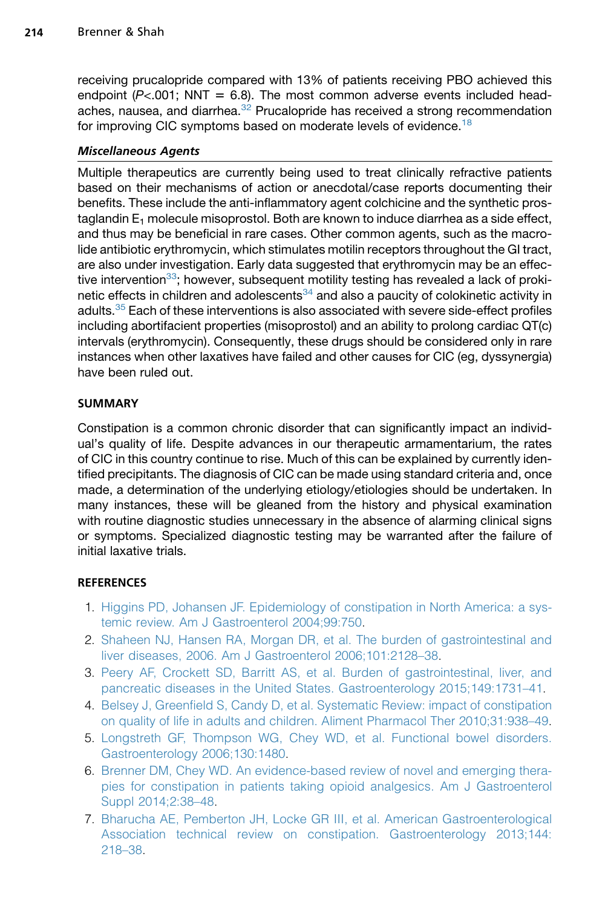<span id="page-9-0"></span>receiving prucalopride compared with 13% of patients receiving PBO achieved this endpoint ( $P < .001$ ; NNT = 6.8). The most common adverse events included headaches, nausea, and diarrhea. $32$  Prucalopride has received a strong recommendation for improving CIC symptoms based on moderate levels of evidence.<sup>[18](#page-10-0)</sup>

# Miscellaneous Agents

Multiple therapeutics are currently being used to treat clinically refractive patients based on their mechanisms of action or anecdotal/case reports documenting their benefits. These include the anti-inflammatory agent colchicine and the synthetic prostaglandin  $E_1$  molecule misoprostol. Both are known to induce diarrhea as a side effect, and thus may be beneficial in rare cases. Other common agents, such as the macrolide antibiotic erythromycin, which stimulates motilin receptors throughout the GI tract, are also under investigation. Early data suggested that erythromycin may be an effec-tive intervention<sup>[33](#page-11-0)</sup>; however, subsequent motility testing has revealed a lack of prokinetic effects in children and adolescents $34$  and also a paucity of colokinetic activity in adults.<sup>[35](#page-11-0)</sup> Each of these interventions is also associated with severe side-effect profiles including abortifacient properties (misoprostol) and an ability to prolong cardiac QT(c) intervals (erythromycin). Consequently, these drugs should be considered only in rare instances when other laxatives have failed and other causes for CIC (eg, dyssynergia) have been ruled out.

## SUMMARY

Constipation is a common chronic disorder that can significantly impact an individual's quality of life. Despite advances in our therapeutic armamentarium, the rates of CIC in this country continue to rise. Much of this can be explained by currently identified precipitants. The diagnosis of CIC can be made using standard criteria and, once made, a determination of the underlying etiology/etiologies should be undertaken. In many instances, these will be gleaned from the history and physical examination with routine diagnostic studies unnecessary in the absence of alarming clinical signs or symptoms. Specialized diagnostic testing may be warranted after the failure of initial laxative trials.

# **REFERENCES**

- 1. [Higgins PD, Johansen JF. Epidemiology of constipation in North America: a sys](http://refhub.elsevier.com/S0889-8553(16)30013-9/sref1)[temic review. Am J Gastroenterol 2004;99:750](http://refhub.elsevier.com/S0889-8553(16)30013-9/sref1).
- 2. [Shaheen NJ, Hansen RA, Morgan DR, et al. The burden of gastrointestinal and](http://refhub.elsevier.com/S0889-8553(16)30013-9/sref2) [liver diseases, 2006. Am J Gastroenterol 2006;101:2128–38.](http://refhub.elsevier.com/S0889-8553(16)30013-9/sref2)
- 3. [Peery AF, Crockett SD, Barritt AS, et al. Burden of gastrointestinal, liver, and](http://refhub.elsevier.com/S0889-8553(16)30013-9/sref3) [pancreatic diseases in the United States. Gastroenterology 2015;149:1731–41](http://refhub.elsevier.com/S0889-8553(16)30013-9/sref3).
- 4. [Belsey J, Greenfield S, Candy D, et al. Systematic Review: impact of constipation](http://refhub.elsevier.com/S0889-8553(16)30013-9/sref4) [on quality of life in adults and children. Aliment Pharmacol Ther 2010;31:938–49.](http://refhub.elsevier.com/S0889-8553(16)30013-9/sref4)
- 5. [Longstreth GF, Thompson WG, Chey WD, et al. Functional bowel disorders.](http://refhub.elsevier.com/S0889-8553(16)30013-9/sref5) [Gastroenterology 2006;130:1480.](http://refhub.elsevier.com/S0889-8553(16)30013-9/sref5)
- 6. [Brenner DM, Chey WD. An evidence-based review of novel and emerging thera](http://refhub.elsevier.com/S0889-8553(16)30013-9/sref6)[pies for constipation in patients taking opioid analgesics. Am J Gastroenterol](http://refhub.elsevier.com/S0889-8553(16)30013-9/sref6) [Suppl 2014;2:38–48.](http://refhub.elsevier.com/S0889-8553(16)30013-9/sref6)
- 7. [Bharucha AE, Pemberton JH, Locke GR III, et al. American Gastroenterological](http://refhub.elsevier.com/S0889-8553(16)30013-9/sref7) [Association technical review on constipation. Gastroenterology 2013;144:](http://refhub.elsevier.com/S0889-8553(16)30013-9/sref7) [218–38.](http://refhub.elsevier.com/S0889-8553(16)30013-9/sref7)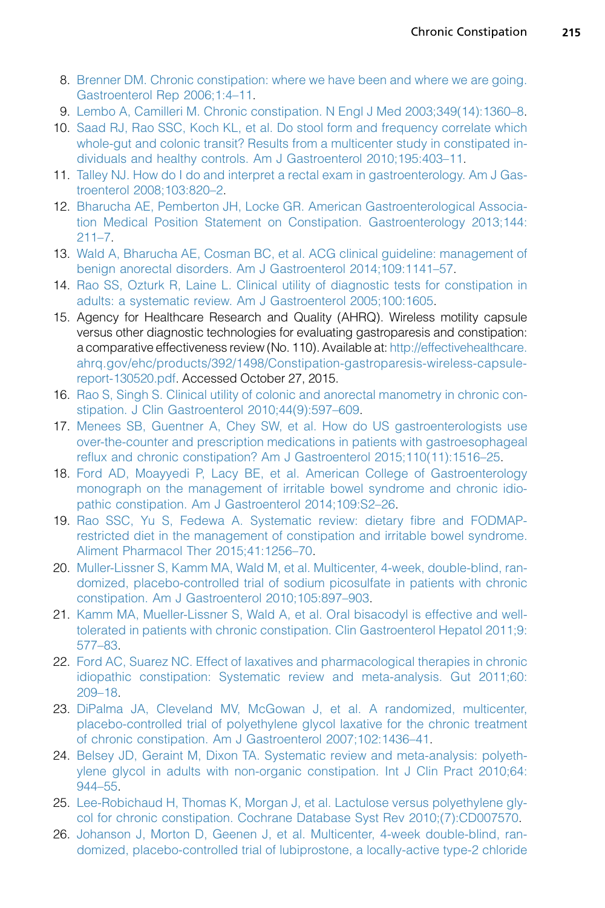- <span id="page-10-0"></span>8. [Brenner DM. Chronic constipation: where we have been and where we are going.](http://refhub.elsevier.com/S0889-8553(16)30013-9/sref8) [Gastroenterol Rep 2006;1:4–11](http://refhub.elsevier.com/S0889-8553(16)30013-9/sref8).
- 9. [Lembo A, Camilleri M. Chronic constipation. N Engl J Med 2003;349\(14\):1360–8](http://refhub.elsevier.com/S0889-8553(16)30013-9/sref9).
- 10. [Saad RJ, Rao SSC, Koch KL, et al. Do stool form and frequency correlate which](http://refhub.elsevier.com/S0889-8553(16)30013-9/sref10) [whole-gut and colonic transit? Results from a multicenter study in constipated in](http://refhub.elsevier.com/S0889-8553(16)30013-9/sref10)[dividuals and healthy controls. Am J Gastroenterol 2010;195:403–11.](http://refhub.elsevier.com/S0889-8553(16)30013-9/sref10)
- 11. [Talley NJ. How do I do and interpret a rectal exam in gastroenterology. Am J Gas](http://refhub.elsevier.com/S0889-8553(16)30013-9/sref11)[troenterol 2008;103:820–2](http://refhub.elsevier.com/S0889-8553(16)30013-9/sref11).
- 12. [Bharucha AE, Pemberton JH, Locke GR. American Gastroenterological Associa](http://refhub.elsevier.com/S0889-8553(16)30013-9/sref12)[tion Medical Position Statement on Constipation. Gastroenterology 2013;144:](http://refhub.elsevier.com/S0889-8553(16)30013-9/sref12) [211–7](http://refhub.elsevier.com/S0889-8553(16)30013-9/sref12).
- 13. [Wald A, Bharucha AE, Cosman BC, et al. ACG clinical guideline: management of](http://refhub.elsevier.com/S0889-8553(16)30013-9/sref13) [benign anorectal disorders. Am J Gastroenterol 2014;109:1141–57.](http://refhub.elsevier.com/S0889-8553(16)30013-9/sref13)
- 14. [Rao SS, Ozturk R, Laine L. Clinical utility of diagnostic tests for constipation in](http://refhub.elsevier.com/S0889-8553(16)30013-9/sref14) [adults: a systematic review. Am J Gastroenterol 2005;100:1605](http://refhub.elsevier.com/S0889-8553(16)30013-9/sref14).
- 15. Agency for Healthcare Research and Quality (AHRQ). Wireless motility capsule versus other diagnostic technologies for evaluating gastroparesis and constipation: a comparative effectiveness review (No. 110). Available at: [http://effectivehealthcare.](http://effectivehealthcare.ahrq.gov/ehc/products/392/1498/Constipation-gastroparesis-wireless-capsule-report-130520.pdf) [ahrq.gov/ehc/products/392/1498/Constipation-gastroparesis-wireless-capsule](http://effectivehealthcare.ahrq.gov/ehc/products/392/1498/Constipation-gastroparesis-wireless-capsule-report-130520.pdf)[report-130520.pdf](http://effectivehealthcare.ahrq.gov/ehc/products/392/1498/Constipation-gastroparesis-wireless-capsule-report-130520.pdf). Accessed October 27, 2015.
- 16. [Rao S, Singh S. Clinical utility of colonic and anorectal manometry in chronic con](http://refhub.elsevier.com/S0889-8553(16)30013-9/sref16)[stipation. J Clin Gastroenterol 2010;44\(9\):597–609.](http://refhub.elsevier.com/S0889-8553(16)30013-9/sref16)
- 17. [Menees SB, Guentner A, Chey SW, et al. How do US gastroenterologists use](http://refhub.elsevier.com/S0889-8553(16)30013-9/sref17) [over-the-counter and prescription medications in patients with gastroesophageal](http://refhub.elsevier.com/S0889-8553(16)30013-9/sref17) [reflux and chronic constipation? Am J Gastroenterol 2015;110\(11\):1516–25](http://refhub.elsevier.com/S0889-8553(16)30013-9/sref17).
- 18. [Ford AD, Moayyedi P, Lacy BE, et al. American College of Gastroenterology](http://refhub.elsevier.com/S0889-8553(16)30013-9/sref18) [monograph on the management of irritable bowel syndrome and chronic idio](http://refhub.elsevier.com/S0889-8553(16)30013-9/sref18)[pathic constipation. Am J Gastroenterol 2014;109:S2–26](http://refhub.elsevier.com/S0889-8553(16)30013-9/sref18).
- 19. [Rao SSC, Yu S, Fedewa A. Systematic review: dietary fibre and FODMAP](http://refhub.elsevier.com/S0889-8553(16)30013-9/sref19)[restricted diet in the management of constipation and irritable bowel syndrome.](http://refhub.elsevier.com/S0889-8553(16)30013-9/sref19) [Aliment Pharmacol Ther 2015;41:1256–70](http://refhub.elsevier.com/S0889-8553(16)30013-9/sref19).
- 20. [Muller-Lissner S, Kamm MA, Wald M, et al. Multicenter, 4-week, double-blind, ran](http://refhub.elsevier.com/S0889-8553(16)30013-9/sref20)[domized, placebo-controlled trial of sodium picosulfate in patients with chronic](http://refhub.elsevier.com/S0889-8553(16)30013-9/sref20) [constipation. Am J Gastroenterol 2010;105:897–903.](http://refhub.elsevier.com/S0889-8553(16)30013-9/sref20)
- 21. [Kamm MA, Mueller-Lissner S, Wald A, et al. Oral bisacodyl is effective and well](http://refhub.elsevier.com/S0889-8553(16)30013-9/sref21)[tolerated in patients with chronic constipation. Clin Gastroenterol Hepatol 2011;9:](http://refhub.elsevier.com/S0889-8553(16)30013-9/sref21) [577–83.](http://refhub.elsevier.com/S0889-8553(16)30013-9/sref21)
- 22. [Ford AC, Suarez NC. Effect of laxatives and pharmacological therapies in chronic](http://refhub.elsevier.com/S0889-8553(16)30013-9/sref22) [idiopathic constipation: Systematic review and meta-analysis. Gut 2011;60:](http://refhub.elsevier.com/S0889-8553(16)30013-9/sref22) [209–18.](http://refhub.elsevier.com/S0889-8553(16)30013-9/sref22)
- 23. [DiPalma JA, Cleveland MV, McGowan J, et al. A randomized, multicenter,](http://refhub.elsevier.com/S0889-8553(16)30013-9/sref23) [placebo-controlled trial of polyethylene glycol laxative for the chronic treatment](http://refhub.elsevier.com/S0889-8553(16)30013-9/sref23) [of chronic constipation. Am J Gastroenterol 2007;102:1436–41.](http://refhub.elsevier.com/S0889-8553(16)30013-9/sref23)
- 24. [Belsey JD, Geraint M, Dixon TA. Systematic review and meta-analysis: polyeth](http://refhub.elsevier.com/S0889-8553(16)30013-9/sref24)[ylene glycol in adults with non-organic constipation. Int J Clin Pract 2010;64:](http://refhub.elsevier.com/S0889-8553(16)30013-9/sref24) [944–55.](http://refhub.elsevier.com/S0889-8553(16)30013-9/sref24)
- 25. [Lee-Robichaud H, Thomas K, Morgan J, et al. Lactulose versus polyethylene gly](http://refhub.elsevier.com/S0889-8553(16)30013-9/sref25)[col for chronic constipation. Cochrane Database Syst Rev 2010;\(7\):CD007570](http://refhub.elsevier.com/S0889-8553(16)30013-9/sref25).
- 26. [Johanson J, Morton D, Geenen J, et al. Multicenter, 4-week double-blind, ran](http://refhub.elsevier.com/S0889-8553(16)30013-9/sref26)[domized, placebo-controlled trial of lubiprostone, a locally-active type-2 chloride](http://refhub.elsevier.com/S0889-8553(16)30013-9/sref26)